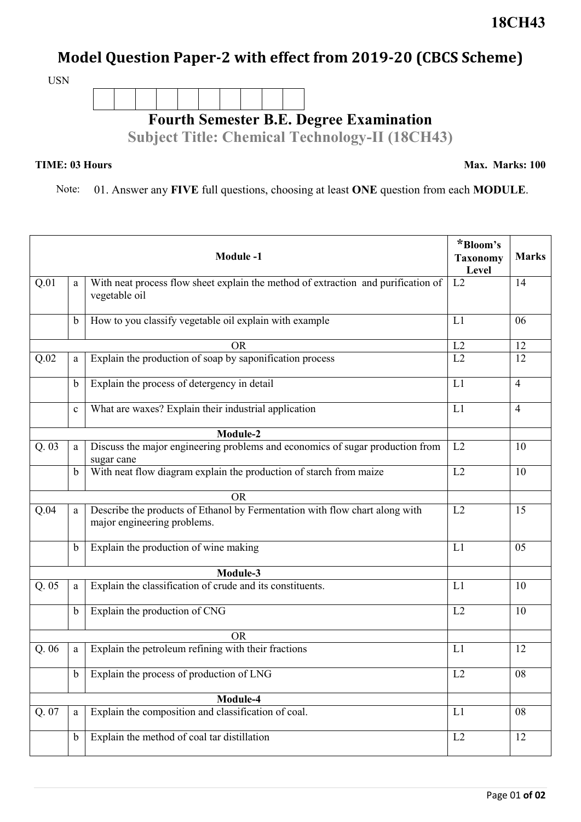## **Model Question Paper-2 with effect from 2019-20 (CBCS Scheme)**

USN



## **TIME: 03 Hours**

**Max. Marks: 100**

Note: 01. Answer any **FIVE** full questions, choosing at least **ONE** question from each **MODULE**.

| <b>Module-1</b>   |             |                                                                                                            | *Bloom's<br><b>Taxonomy</b><br>Level | <b>Marks</b>   |  |
|-------------------|-------------|------------------------------------------------------------------------------------------------------------|--------------------------------------|----------------|--|
| Q.01              | a           | With neat process flow sheet explain the method of extraction and purification of<br>vegetable oil         | L2                                   | 14             |  |
|                   | b           | How to you classify vegetable oil explain with example                                                     | L1                                   | 06             |  |
| <b>OR</b>         |             |                                                                                                            | L2                                   | 12             |  |
| Q.02              | a           | Explain the production of soap by saponification process                                                   | L2                                   | 12             |  |
|                   | $\mathbf b$ | Explain the process of detergency in detail                                                                | L1                                   | $\overline{4}$ |  |
|                   | $\mathbf c$ | What are waxes? Explain their industrial application                                                       | L1                                   | $\overline{4}$ |  |
| Module-2          |             |                                                                                                            |                                      |                |  |
| Q.03              | a           | Discuss the major engineering problems and economics of sugar production from<br>sugar cane                | L2                                   | 10             |  |
|                   | $\mathbf b$ | With neat flow diagram explain the production of starch from maize                                         | L2                                   | 10             |  |
|                   |             | <b>OR</b>                                                                                                  |                                      |                |  |
| Q.04              | a           | Describe the products of Ethanol by Fermentation with flow chart along with<br>major engineering problems. | L2                                   | 15             |  |
|                   | $\mathbf b$ | Explain the production of wine making                                                                      | L1                                   | 05             |  |
| Module-3          |             |                                                                                                            |                                      |                |  |
| Q.05              | a           | Explain the classification of crude and its constituents.                                                  | L1                                   | 10             |  |
|                   | $\mathbf b$ | Explain the production of CNG                                                                              | L2                                   | 10             |  |
|                   |             | <b>OR</b>                                                                                                  |                                      |                |  |
| Q.06              | a           | Explain the petroleum refining with their fractions                                                        | L1                                   | 12             |  |
|                   |             | b Explain the process of production of LNG                                                                 | L2                                   | 08             |  |
| Module-4          |             |                                                                                                            |                                      |                |  |
| $Q.\overline{07}$ | $\rm{a}$    | Explain the composition and classification of coal.                                                        | L1                                   | 08             |  |
|                   | $\mathbf b$ | Explain the method of coal tar distillation                                                                | L2                                   | 12             |  |